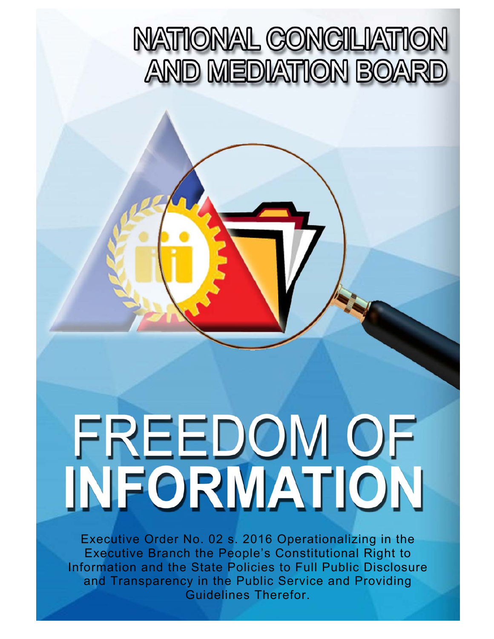## **NATIONAL CONCILIATION AND MEDIATION BOARD**

# I I  $\overline{\phantom{a}}$

ı

i

 $\overline{\phantom{a}}$ 

í

Executive Order No. 02 s. 2016 Operationalizing in the Executive Branch the People's Constitutional Right to Information and the State Policies to Full Public Disclosure and Transparency in the Public Service and Providing Guidelines Therefor.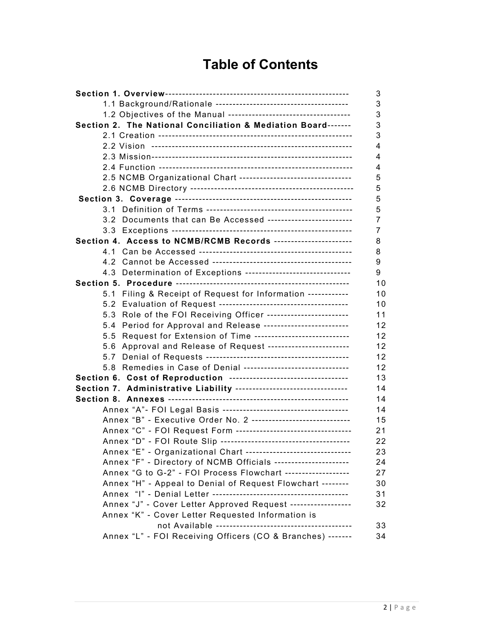## **Table of Contents**

|                                                                                                                                              | 3        |
|----------------------------------------------------------------------------------------------------------------------------------------------|----------|
|                                                                                                                                              | 3        |
|                                                                                                                                              | 3        |
| Section 2. The National Conciliation & Mediation Board-------                                                                                | 3        |
|                                                                                                                                              | 3        |
|                                                                                                                                              | 4        |
|                                                                                                                                              | 4        |
|                                                                                                                                              | 4        |
| 2.5 NCMB Organizational Chart ---------------------------------                                                                              | 5        |
|                                                                                                                                              | 5        |
|                                                                                                                                              | 5        |
|                                                                                                                                              | 5        |
| 3.2 Documents that can Be Accessed -------------------------                                                                                 | 7        |
|                                                                                                                                              | 7        |
| Section 4. Access to NCMB/RCMB Records -----------------------                                                                               | 8        |
|                                                                                                                                              | 8        |
|                                                                                                                                              | 9        |
| 4.3 Determination of Exceptions -------------------------------                                                                              | 9        |
|                                                                                                                                              | 10       |
| 5.1 Filing & Receipt of Request for Information ------------                                                                                 | 10       |
|                                                                                                                                              | 10       |
| 5.3 Role of the FOI Receiving Officer -----------------------                                                                                | 11       |
| 5.4 Period for Approval and Release -------------------------                                                                                | 12       |
| 5.5 Request for Extension of Time ----------------------------                                                                               | 12       |
| 5.6 Approval and Release of Request ------------------------                                                                                 | 12       |
| 5.8 Remedies in Case of Denial -------------------------------                                                                               | 12       |
|                                                                                                                                              | 12<br>13 |
| Section 6. Cost of Reproduction -----------------------------------<br>Section 7. Administrative Liability --------------------------------- | 14       |
|                                                                                                                                              | 14       |
|                                                                                                                                              | 14       |
| Annex "B" - Executive Order No. 2 -----------------------------                                                                              | 15       |
| Annex "C" - FOI Request Form -----------------------------------                                                                             | 21       |
|                                                                                                                                              | 22       |
| Annex "E" - Organizational Chart --------------------------------                                                                            | 23       |
| Annex "F" - Directory of NCMB Officials ----------------------                                                                               | 24       |
| Annex "G to G-2" - FOI Process Flowchart -------------------                                                                                 | 27       |
| Annex "H" - Appeal to Denial of Request Flowchart --------                                                                                   | 30       |
|                                                                                                                                              | 31       |
| Annex "J" - Cover Letter Approved Request -----------------                                                                                  | 32       |
| Annex "K" - Cover Letter Requested Information is                                                                                            |          |
| not Available ---------------------------                                                                                                    | 33       |
| Annex "L" - FOI Receiving Officers (CO & Branches) -------                                                                                   | 34       |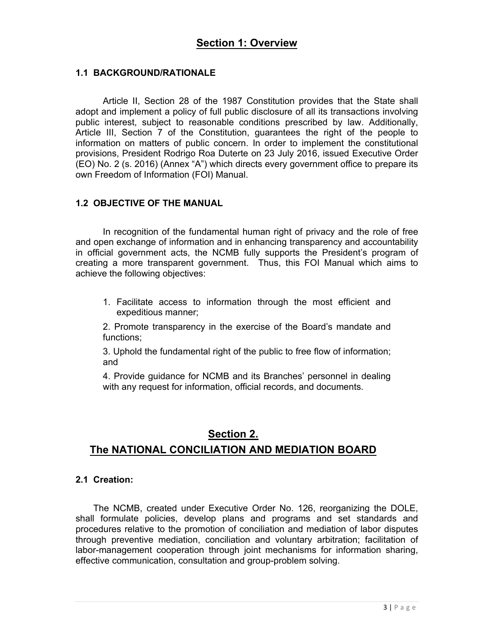#### **1.1 BACKGROUND/RATIONALE**

Article II, Section 28 of the 1987 Constitution provides that the State shall adopt and implement a policy of full public disclosure of all its transactions involving public interest, subject to reasonable conditions prescribed by law. Additionally, Article III, Section 7 of the Constitution, guarantees the right of the people to information on matters of public concern. In order to implement the constitutional provisions, President Rodrigo Roa Duterte on 23 July 2016, issued Executive Order (EO) No. 2 (s. 2016) (Annex "A") which directs every government office to prepare its own Freedom of Information (FOI) Manual.

#### **1.2 OBJECTIVE OF THE MANUAL**

In recognition of the fundamental human right of privacy and the role of free and open exchange of information and in enhancing transparency and accountability in official government acts, the NCMB fully supports the President's program of creating a more transparent government. Thus, this FOI Manual which aims to achieve the following objectives:

1. Facilitate access to information through the most efficient and expeditious manner;

2. Promote transparency in the exercise of the Board's mandate and functions;

3. Uphold the fundamental right of the public to free flow of information; and

4. Provide guidance for NCMB and its Branches' personnel in dealing with any request for information, official records, and documents.

## **Section 2. The NATIONAL CONCILIATION AND MEDIATION BOARD**

#### **2.1 Creation:**

 The NCMB, created under Executive Order No. 126, reorganizing the DOLE, shall formulate policies, develop plans and programs and set standards and procedures relative to the promotion of conciliation and mediation of labor disputes through preventive mediation, conciliation and voluntary arbitration; facilitation of labor-management cooperation through joint mechanisms for information sharing, effective communication, consultation and group-problem solving.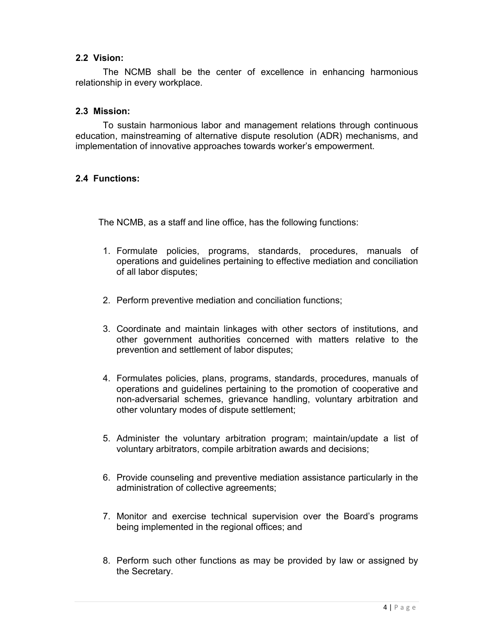#### **2.2 Vision:**

The NCMB shall be the center of excellence in enhancing harmonious relationship in every workplace.

#### **2.3 Mission:**

 To sustain harmonious labor and management relations through continuous education, mainstreaming of alternative dispute resolution (ADR) mechanisms, and implementation of innovative approaches towards worker's empowerment.

#### **2.4 Functions:**

The NCMB, as a staff and line office, has the following functions:

- 1. Formulate policies, programs, standards, procedures, manuals of operations and guidelines pertaining to effective mediation and conciliation of all labor disputes;
- 2. Perform preventive mediation and conciliation functions;
- 3. Coordinate and maintain linkages with other sectors of institutions, and other government authorities concerned with matters relative to the prevention and settlement of labor disputes;
- 4. Formulates policies, plans, programs, standards, procedures, manuals of operations and guidelines pertaining to the promotion of cooperative and non-adversarial schemes, grievance handling, voluntary arbitration and other voluntary modes of dispute settlement;
- 5. Administer the voluntary arbitration program; maintain/update a list of voluntary arbitrators, compile arbitration awards and decisions;
- 6. Provide counseling and preventive mediation assistance particularly in the administration of collective agreements;
- 7. Monitor and exercise technical supervision over the Board's programs being implemented in the regional offices; and
- 8. Perform such other functions as may be provided by law or assigned by the Secretary.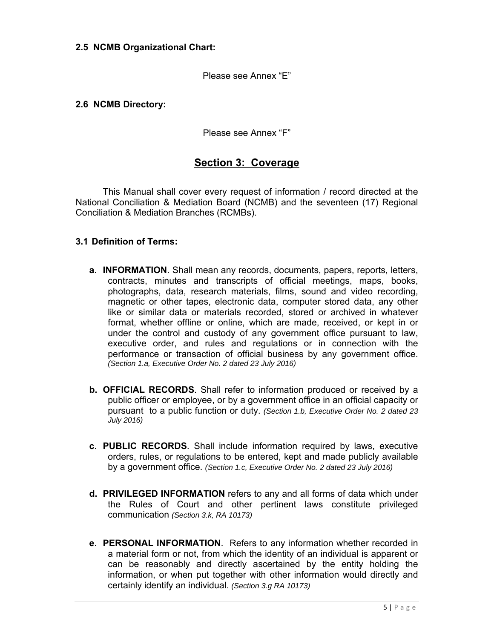#### **2.5 NCMB Organizational Chart:**

Please see Annex "E"

#### **2.6 NCMB Directory:**

Please see Annex "F"

## **Section 3: Coverage**

 This Manual shall cover every request of information / record directed at the National Conciliation & Mediation Board (NCMB) and the seventeen (17) Regional Conciliation & Mediation Branches (RCMBs).

#### **3.1 Definition of Terms:**

- **a. INFORMATION**. Shall mean any records, documents, papers, reports, letters, contracts, minutes and transcripts of official meetings, maps, books, photographs, data, research materials, films, sound and video recording, magnetic or other tapes, electronic data, computer stored data, any other like or similar data or materials recorded, stored or archived in whatever format, whether offline or online, which are made, received, or kept in or under the control and custody of any government office pursuant to law, executive order, and rules and regulations or in connection with the performance or transaction of official business by any government office. *(Section 1.a, Executive Order No. 2 dated 23 July 2016)*
- **b. OFFICIAL RECORDS**. Shall refer to information produced or received by a public officer or employee, or by a government office in an official capacity or pursuant to a public function or duty. *(Section 1.b, Executive Order No. 2 dated 23 July 2016)*
- **c. PUBLIC RECORDS**. Shall include information required by laws, executive orders, rules, or regulations to be entered, kept and made publicly available by a government office. *(Section 1.c, Executive Order No. 2 dated 23 July 2016)*
- **d. PRIVILEGED INFORMATION** refers to any and all forms of data which under the Rules of Court and other pertinent laws constitute privileged communication *(Section 3.k, RA 10173)*
- **e. PERSONAL INFORMATION**. Refers to any information whether recorded in a material form or not, from which the identity of an individual is apparent or can be reasonably and directly ascertained by the entity holding the information, or when put together with other information would directly and certainly identify an individual. *(Section 3.g RA 10173)*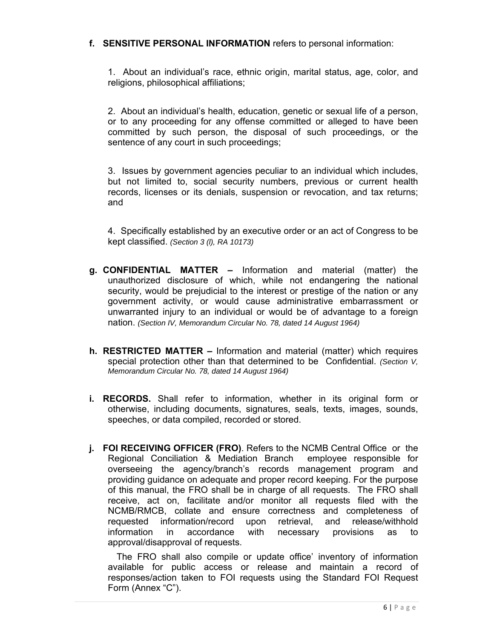#### **f. SENSITIVE PERSONAL INFORMATION** refers to personal information:

1. About an individual's race, ethnic origin, marital status, age, color, and religions, philosophical affiliations;

2. About an individual's health, education, genetic or sexual life of a person, or to any proceeding for any offense committed or alleged to have been committed by such person, the disposal of such proceedings, or the sentence of any court in such proceedings;

3. Issues by government agencies peculiar to an individual which includes, but not limited to, social security numbers, previous or current health records, licenses or its denials, suspension or revocation, and tax returns; and

4. Specifically established by an executive order or an act of Congress to be kept classified. *(Section 3 (l), RA 10173)*

- **g. CONFIDENTIAL MATTER** Information and material (matter) the unauthorized disclosure of which, while not endangering the national security, would be prejudicial to the interest or prestige of the nation or any government activity, or would cause administrative embarrassment or unwarranted injury to an individual or would be of advantage to a foreign nation. *(Section IV, Memorandum Circular No. 78, dated 14 August 1964)*
- **h. RESTRICTED MATTER** Information and material (matter) which requires special protection other than that determined to be Confidential. *(Section V, Memorandum Circular No. 78, dated 14 August 1964)*
- **i. RECORDS.** Shall refer to information, whether in its original form or otherwise, including documents, signatures, seals, texts, images, sounds, speeches, or data compiled, recorded or stored.
- **j. FOI RECEIVING OFFICER (FRO)**. Refers to the NCMB Central Office or the Regional Conciliation & Mediation Branch employee responsible for overseeing the agency/branch's records management program and providing guidance on adequate and proper record keeping. For the purpose of this manual, the FRO shall be in charge of all requests. The FRO shall receive, act on, facilitate and/or monitor all requests filed with the NCMB/RMCB, collate and ensure correctness and completeness of requested information/record upon retrieval, and release/withhold information in accordance with necessary provisions as to approval/disapproval of requests.

The FRO shall also compile or update office' inventory of information available for public access or release and maintain a record of responses/action taken to FOI requests using the Standard FOI Request Form (Annex "C").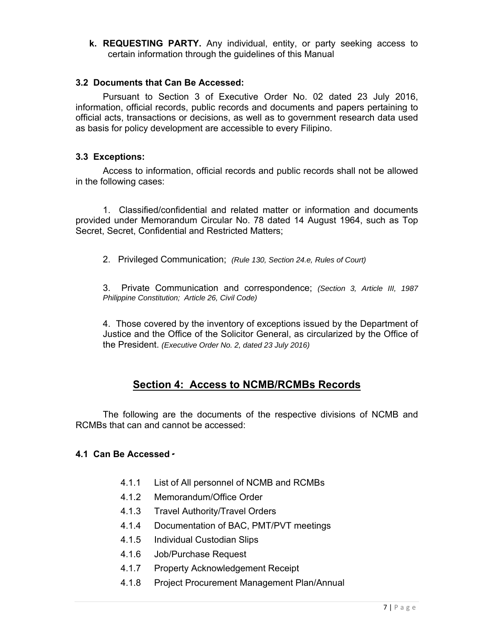**k. REQUESTING PARTY.** Any individual, entity, or party seeking access to certain information through the guidelines of this Manual

#### **3.2 Documents that Can Be Accessed:**

 Pursuant to Section 3 of Executive Order No. 02 dated 23 July 2016, information, official records, public records and documents and papers pertaining to official acts, transactions or decisions, as well as to government research data used as basis for policy development are accessible to every Filipino.

#### **3.3 Exceptions:**

 Access to information, official records and public records shall not be allowed in the following cases:

 1. Classified/confidential and related matter or information and documents provided under Memorandum Circular No. 78 dated 14 August 1964, such as Top Secret, Secret, Confidential and Restricted Matters;

2. Privileged Communication; *(Rule 130, Section 24.e, Rules of Court)*

3. Private Communication and correspondence; *(Section 3, Article III, 1987 Philippine Constitution; Article 26, Civil Code)* 

4. Those covered by the inventory of exceptions issued by the Department of Justice and the Office of the Solicitor General, as circularized by the Office of the President. *(Executive Order No. 2, dated 23 July 2016)* 

## **Section 4: Access to NCMB/RCMBs Records**

The following are the documents of the respective divisions of NCMB and RCMBs that can and cannot be accessed:

#### **4.1 Can Be Accessed** -

- 4.1.1 List of All personnel of NCMB and RCMBs
- 4.1.2 Memorandum/Office Order
- 4.1.3 Travel Authority/Travel Orders
- 4.1.4 Documentation of BAC, PMT/PVT meetings
- 4.1.5 Individual Custodian Slips
- 4.1.6 Job/Purchase Request
- 4.1.7 Property Acknowledgement Receipt
- 4.1.8 Project Procurement Management Plan/Annual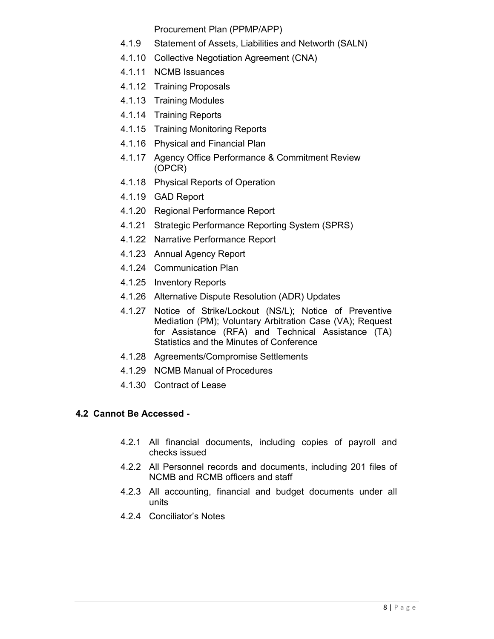Procurement Plan (PPMP/APP)

- 4.1.9 Statement of Assets, Liabilities and Networth (SALN)
- 4.1.10 Collective Negotiation Agreement (CNA)
- 4.1.11 NCMB Issuances
- 4.1.12 Training Proposals
- 4.1.13 Training Modules
- 4.1.14 Training Reports
- 4.1.15 Training Monitoring Reports
- 4.1.16 Physical and Financial Plan
- 4.1.17 Agency Office Performance & Commitment Review (OPCR)
- 4.1.18 Physical Reports of Operation
- 4.1.19 GAD Report
- 4.1.20 Regional Performance Report
- 4.1.21 Strategic Performance Reporting System (SPRS)
- 4.1.22 Narrative Performance Report
- 4.1.23 Annual Agency Report
- 4.1.24 Communication Plan
- 4.1.25 Inventory Reports
- 4.1.26 Alternative Dispute Resolution (ADR) Updates
- 4.1.27 Notice of Strike/Lockout (NS/L); Notice of Preventive Mediation (PM); Voluntary Arbitration Case (VA); Request for Assistance (RFA) and Technical Assistance (TA) Statistics and the Minutes of Conference
- 4.1.28 Agreements/Compromise Settlements
- 4.1.29 NCMB Manual of Procedures
- 4.1.30 Contract of Lease

## **4.2 Cannot Be Accessed -**

- 4.2.1 All financial documents, including copies of payroll and checks issued
- 4.2.2 All Personnel records and documents, including 201 files of NCMB and RCMB officers and staff
- 4.2.3 All accounting, financial and budget documents under all units
- 4.2.4 Conciliator's Notes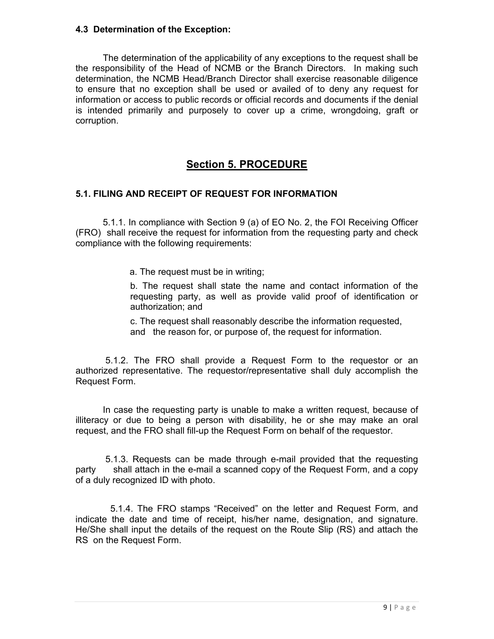#### **4.3 Determination of the Exception:**

 The determination of the applicability of any exceptions to the request shall be the responsibility of the Head of NCMB or the Branch Directors. In making such determination, the NCMB Head/Branch Director shall exercise reasonable diligence to ensure that no exception shall be used or availed of to deny any request for information or access to public records or official records and documents if the denial is intended primarily and purposely to cover up a crime, wrongdoing, graft or corruption.

## **Section 5. PROCEDURE**

#### **5.1. FILING AND RECEIPT OF REQUEST FOR INFORMATION**

5.1.1. In compliance with Section 9 (a) of EO No. 2, the FOI Receiving Officer (FRO) shall receive the request for information from the requesting party and check compliance with the following requirements:

a. The request must be in writing;

b. The request shall state the name and contact information of the requesting party, as well as provide valid proof of identification or authorization; and

c. The request shall reasonably describe the information requested, and the reason for, or purpose of, the request for information.

 5.1.2. The FRO shall provide a Request Form to the requestor or an authorized representative. The requestor/representative shall duly accomplish the Request Form.

In case the requesting party is unable to make a written request, because of illiteracy or due to being a person with disability, he or she may make an oral request, and the FRO shall fill-up the Request Form on behalf of the requestor.

 5.1.3. Requests can be made through e-mail provided that the requesting party shall attach in the e-mail a scanned copy of the Request Form, and a copy of a duly recognized ID with photo.

5.1.4. The FRO stamps "Received" on the letter and Request Form, and indicate the date and time of receipt, his/her name, designation, and signature. He/She shall input the details of the request on the Route Slip (RS) and attach the RS on the Request Form.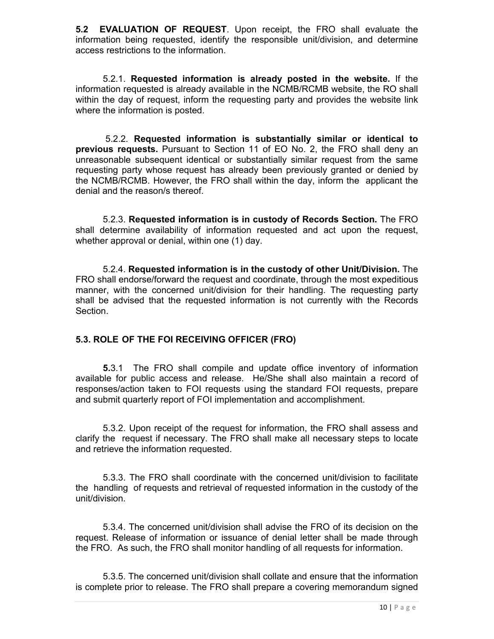**5.2 EVALUATION OF REQUEST**. Upon receipt, the FRO shall evaluate the information being requested, identify the responsible unit/division, and determine access restrictions to the information.

5.2.1. **Requested information is already posted in the website.** If the information requested is already available in the NCMB/RCMB website, the RO shall within the day of request, inform the requesting party and provides the website link where the information is posted.

 5.2.2. **Requested information is substantially similar or identical to previous requests.** Pursuant to Section 11 of EO No. 2, the FRO shall deny an unreasonable subsequent identical or substantially similar request from the same requesting party whose request has already been previously granted or denied by the NCMB/RCMB. However, the FRO shall within the day, inform the applicant the denial and the reason/s thereof.

5.2.3. **Requested information is in custody of Records Section.** The FRO shall determine availability of information requested and act upon the request, whether approval or denial, within one (1) day.

5.2.4. **Requested information is in the custody of other Unit/Division.** The FRO shall endorse/forward the request and coordinate, through the most expeditious manner, with the concerned unit/division for their handling. The requesting party shall be advised that the requested information is not currently with the Records Section.

#### **5.3. ROLE OF THE FOI RECEIVING OFFICER (FRO)**

 **5.**3.1 The FRO shall compile and update office inventory of information available for public access and release. He/She shall also maintain a record of responses/action taken to FOI requests using the standard FOI requests, prepare and submit quarterly report of FOI implementation and accomplishment.

5.3.2. Upon receipt of the request for information, the FRO shall assess and clarify the request if necessary. The FRO shall make all necessary steps to locate and retrieve the information requested.

5.3.3. The FRO shall coordinate with the concerned unit/division to facilitate the handling of requests and retrieval of requested information in the custody of the unit/division.

5.3.4. The concerned unit/division shall advise the FRO of its decision on the request. Release of information or issuance of denial letter shall be made through the FRO. As such, the FRO shall monitor handling of all requests for information.

5.3.5. The concerned unit/division shall collate and ensure that the information is complete prior to release. The FRO shall prepare a covering memorandum signed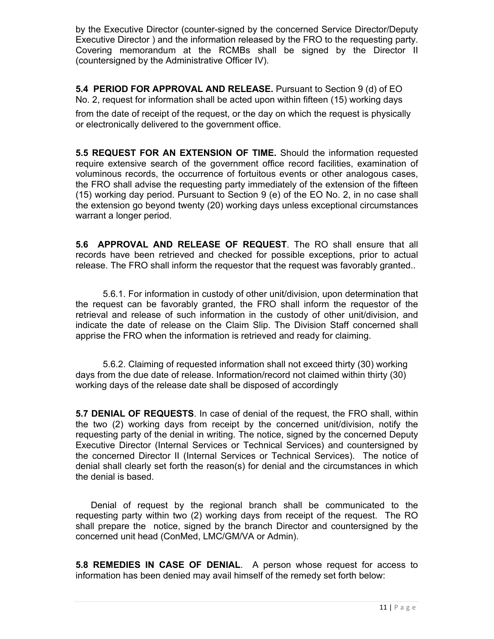by the Executive Director (counter-signed by the concerned Service Director/Deputy Executive Director ) and the information released by the FRO to the requesting party. Covering memorandum at the RCMBs shall be signed by the Director II (countersigned by the Administrative Officer IV).

**5.4 PERIOD FOR APPROVAL AND RELEASE.** Pursuant to Section 9 (d) of EO No. 2, request for information shall be acted upon within fifteen (15) working days

from the date of receipt of the request, or the day on which the request is physically or electronically delivered to the government office.

**5.5 REQUEST FOR AN EXTENSION OF TIME.** Should the information requested require extensive search of the government office record facilities, examination of voluminous records, the occurrence of fortuitous events or other analogous cases, the FRO shall advise the requesting party immediately of the extension of the fifteen (15) working day period. Pursuant to Section 9 (e) of the EO No. 2, in no case shall the extension go beyond twenty (20) working days unless exceptional circumstances warrant a longer period.

**5.6 APPROVAL AND RELEASE OF REQUEST**. The RO shall ensure that all records have been retrieved and checked for possible exceptions, prior to actual release. The FRO shall inform the requestor that the request was favorably granted..

5.6.1. For information in custody of other unit/division, upon determination that the request can be favorably granted, the FRO shall inform the requestor of the retrieval and release of such information in the custody of other unit/division, and indicate the date of release on the Claim Slip. The Division Staff concerned shall apprise the FRO when the information is retrieved and ready for claiming.

5.6.2. Claiming of requested information shall not exceed thirty (30) working days from the due date of release. Information/record not claimed within thirty (30) working days of the release date shall be disposed of accordingly

**5.7 DENIAL OF REQUESTS**. In case of denial of the request, the FRO shall, within the two (2) working days from receipt by the concerned unit/division, notify the requesting party of the denial in writing. The notice, signed by the concerned Deputy Executive Director (Internal Services or Technical Services) and countersigned by the concerned Director II (Internal Services or Technical Services). The notice of denial shall clearly set forth the reason(s) for denial and the circumstances in which the denial is based.

 Denial of request by the regional branch shall be communicated to the requesting party within two (2) working days from receipt of the request. The RO shall prepare the notice, signed by the branch Director and countersigned by the concerned unit head (ConMed, LMC/GM/VA or Admin).

**5.8 REMEDIES IN CASE OF DENIAL**. A person whose request for access to information has been denied may avail himself of the remedy set forth below: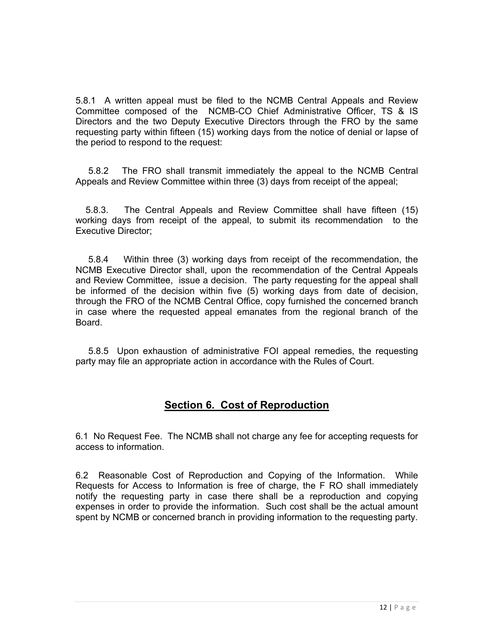5.8.1 A written appeal must be filed to the NCMB Central Appeals and Review Committee composed of the NCMB-CO Chief Administrative Officer, TS & IS Directors and the two Deputy Executive Directors through the FRO by the same requesting party within fifteen (15) working days from the notice of denial or lapse of the period to respond to the request:

 5.8.2 The FRO shall transmit immediately the appeal to the NCMB Central Appeals and Review Committee within three (3) days from receipt of the appeal;

 5.8.3. The Central Appeals and Review Committee shall have fifteen (15) working days from receipt of the appeal, to submit its recommendation to the Executive Director;

 5.8.4 Within three (3) working days from receipt of the recommendation, the NCMB Executive Director shall, upon the recommendation of the Central Appeals and Review Committee, issue a decision. The party requesting for the appeal shall be informed of the decision within five (5) working days from date of decision, through the FRO of the NCMB Central Office, copy furnished the concerned branch in case where the requested appeal emanates from the regional branch of the **Board** 

 5.8.5 Upon exhaustion of administrative FOI appeal remedies, the requesting party may file an appropriate action in accordance with the Rules of Court.

## **Section 6. Cost of Reproduction**

6.1 No Request Fee. The NCMB shall not charge any fee for accepting requests for access to information.

6.2 Reasonable Cost of Reproduction and Copying of the Information. While Requests for Access to Information is free of charge, the F RO shall immediately notify the requesting party in case there shall be a reproduction and copying expenses in order to provide the information. Such cost shall be the actual amount spent by NCMB or concerned branch in providing information to the requesting party.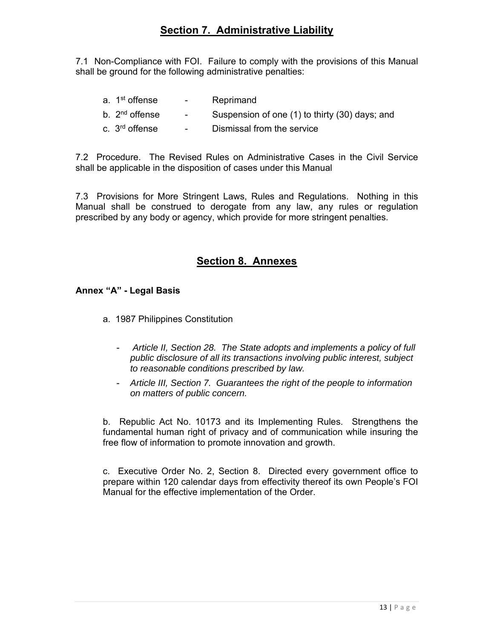## **Section 7. Administrative Liability**

7.1 Non-Compliance with FOI. Failure to comply with the provisions of this Manual shall be ground for the following administrative penalties:

| a. 1 <sup>st</sup> offense | $\sim 100$      | Reprimand                                      |
|----------------------------|-----------------|------------------------------------------------|
| b. 2 <sup>nd</sup> offense | $\sim 100$      | Suspension of one (1) to thirty (30) days; and |
| c. 3 <sup>rd</sup> offense | $\sim$ 10 $\pm$ | Dismissal from the service                     |

7.2 Procedure. The Revised Rules on Administrative Cases in the Civil Service shall be applicable in the disposition of cases under this Manual

7.3 Provisions for More Stringent Laws, Rules and Regulations. Nothing in this Manual shall be construed to derogate from any law, any rules or regulation prescribed by any body or agency, which provide for more stringent penalties.

## **Section 8. Annexes**

#### **Annex "A" - Legal Basis**

- a. 1987 Philippines Constitution
	- *Article II, Section 28. The State adopts and implements a policy of full public disclosure of all its transactions involving public interest, subject to reasonable conditions prescribed by law.*
	- *Article III, Section 7. Guarantees the right of the people to information on matters of public concern.*

b. Republic Act No. 10173 and its Implementing Rules. Strengthens the fundamental human right of privacy and of communication while insuring the free flow of information to promote innovation and growth.

c. Executive Order No. 2, Section 8. Directed every government office to prepare within 120 calendar days from effectivity thereof its own People's FOI Manual for the effective implementation of the Order.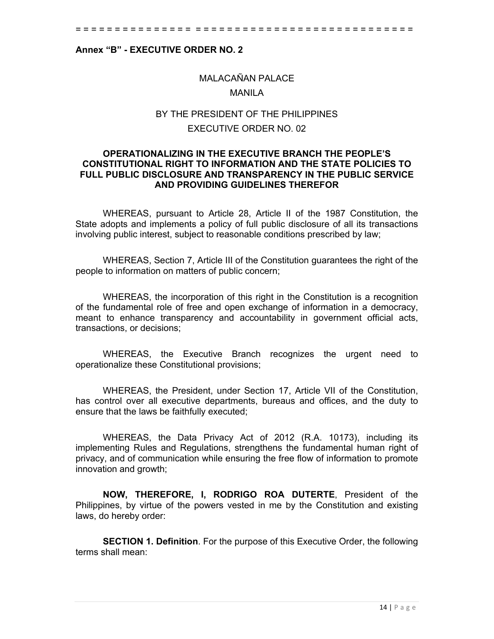#### **Annex "B" - EXECUTIVE ORDER NO. 2**

## MALACAÑAN PALACE MANILA

## BY THE PRESIDENT OF THE PHILIPPINES EXECUTIVE ORDER NO. 02

#### **OPERATIONALIZING IN THE EXECUTIVE BRANCH THE PEOPLE'S CONSTITUTIONAL RIGHT TO INFORMATION AND THE STATE POLICIES TO FULL PUBLIC DISCLOSURE AND TRANSPARENCY IN THE PUBLIC SERVICE AND PROVIDING GUIDELINES THEREFOR**

WHEREAS, pursuant to Article 28, Article II of the 1987 Constitution, the State adopts and implements a policy of full public disclosure of all its transactions involving public interest, subject to reasonable conditions prescribed by law;

WHEREAS, Section 7, Article III of the Constitution guarantees the right of the people to information on matters of public concern;

WHEREAS, the incorporation of this right in the Constitution is a recognition of the fundamental role of free and open exchange of information in a democracy, meant to enhance transparency and accountability in government official acts, transactions, or decisions;

WHEREAS, the Executive Branch recognizes the urgent need to operationalize these Constitutional provisions;

WHEREAS, the President, under Section 17, Article VII of the Constitution, has control over all executive departments, bureaus and offices, and the duty to ensure that the laws be faithfully executed;

WHEREAS, the Data Privacy Act of 2012 (R.A. 10173), including its implementing Rules and Regulations, strengthens the fundamental human right of privacy, and of communication while ensuring the free flow of information to promote innovation and growth;

**NOW, THEREFORE, I, RODRIGO ROA DUTERTE**, President of the Philippines, by virtue of the powers vested in me by the Constitution and existing laws, do hereby order:

**SECTION 1. Definition**. For the purpose of this Executive Order, the following terms shall mean: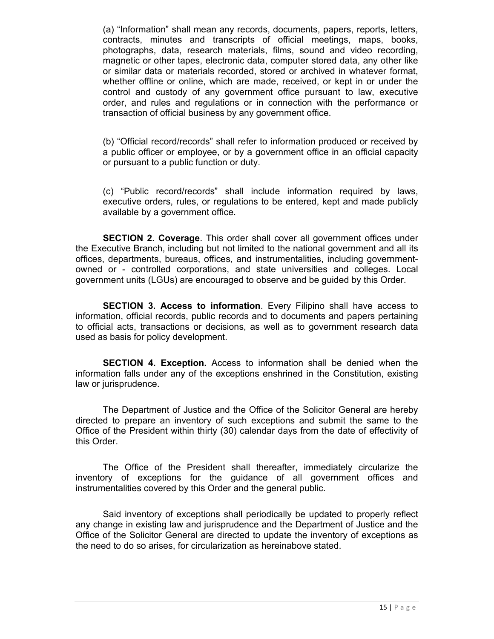(a) "Information" shall mean any records, documents, papers, reports, letters, contracts, minutes and transcripts of official meetings, maps, books, photographs, data, research materials, films, sound and video recording, magnetic or other tapes, electronic data, computer stored data, any other like or similar data or materials recorded, stored or archived in whatever format, whether offline or online, which are made, received, or kept in or under the control and custody of any government office pursuant to law, executive order, and rules and regulations or in connection with the performance or transaction of official business by any government office.

(b) "Official record/records" shall refer to information produced or received by a public officer or employee, or by a government office in an official capacity or pursuant to a public function or duty.

(c) "Public record/records" shall include information required by laws, executive orders, rules, or regulations to be entered, kept and made publicly available by a government office.

**SECTION 2. Coverage**. This order shall cover all government offices under the Executive Branch, including but not limited to the national government and all its offices, departments, bureaus, offices, and instrumentalities, including governmentowned or - controlled corporations, and state universities and colleges. Local government units (LGUs) are encouraged to observe and be guided by this Order.

**SECTION 3. Access to information**. Every Filipino shall have access to information, official records, public records and to documents and papers pertaining to official acts, transactions or decisions, as well as to government research data used as basis for policy development.

**SECTION 4. Exception.** Access to information shall be denied when the information falls under any of the exceptions enshrined in the Constitution, existing law or jurisprudence.

The Department of Justice and the Office of the Solicitor General are hereby directed to prepare an inventory of such exceptions and submit the same to the Office of the President within thirty (30) calendar days from the date of effectivity of this Order.

The Office of the President shall thereafter, immediately circularize the inventory of exceptions for the guidance of all government offices and instrumentalities covered by this Order and the general public.

Said inventory of exceptions shall periodically be updated to properly reflect any change in existing law and jurisprudence and the Department of Justice and the Office of the Solicitor General are directed to update the inventory of exceptions as the need to do so arises, for circularization as hereinabove stated.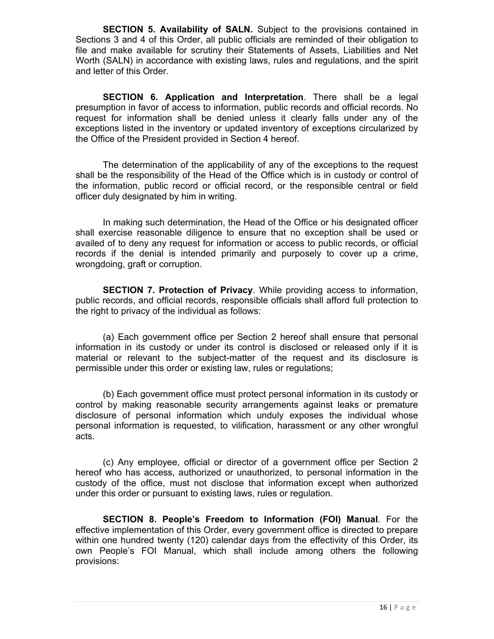**SECTION 5. Availability of SALN.** Subject to the provisions contained in Sections 3 and 4 of this Order, all public officials are reminded of their obligation to file and make available for scrutiny their Statements of Assets, Liabilities and Net Worth (SALN) in accordance with existing laws, rules and regulations, and the spirit and letter of this Order.

**SECTION 6. Application and Interpretation**. There shall be a legal presumption in favor of access to information, public records and official records. No request for information shall be denied unless it clearly falls under any of the exceptions listed in the inventory or updated inventory of exceptions circularized by the Office of the President provided in Section 4 hereof.

The determination of the applicability of any of the exceptions to the request shall be the responsibility of the Head of the Office which is in custody or control of the information, public record or official record, or the responsible central or field officer duly designated by him in writing.

In making such determination, the Head of the Office or his designated officer shall exercise reasonable diligence to ensure that no exception shall be used or availed of to deny any request for information or access to public records, or official records if the denial is intended primarily and purposely to cover up a crime, wrongdoing, graft or corruption.

**SECTION 7. Protection of Privacy**. While providing access to information, public records, and official records, responsible officials shall afford full protection to the right to privacy of the individual as follows:

(a) Each government office per Section 2 hereof shall ensure that personal information in its custody or under its control is disclosed or released only if it is material or relevant to the subject-matter of the request and its disclosure is permissible under this order or existing law, rules or regulations;

(b) Each government office must protect personal information in its custody or control by making reasonable security arrangements against leaks or premature disclosure of personal information which unduly exposes the individual whose personal information is requested, to vilification, harassment or any other wrongful acts.

(c) Any employee, official or director of a government office per Section 2 hereof who has access, authorized or unauthorized, to personal information in the custody of the office, must not disclose that information except when authorized under this order or pursuant to existing laws, rules or regulation.

**SECTION 8. People's Freedom to Information (FOI) Manual**. For the effective implementation of this Order, every government office is directed to prepare within one hundred twenty (120) calendar days from the effectivity of this Order, its own People's FOI Manual, which shall include among others the following provisions: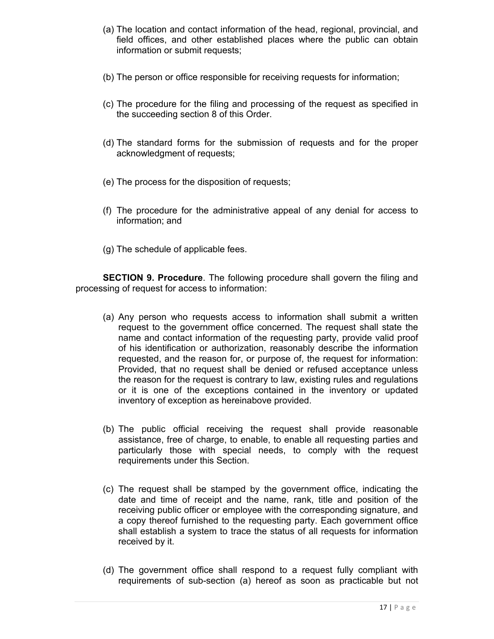- (a) The location and contact information of the head, regional, provincial, and field offices, and other established places where the public can obtain information or submit requests;
- (b) The person or office responsible for receiving requests for information;
- (c) The procedure for the filing and processing of the request as specified in the succeeding section 8 of this Order.
- (d) The standard forms for the submission of requests and for the proper acknowledgment of requests;
- (e) The process for the disposition of requests;
- (f) The procedure for the administrative appeal of any denial for access to information; and
- (g) The schedule of applicable fees.

**SECTION 9. Procedure**. The following procedure shall govern the filing and processing of request for access to information:

- (a) Any person who requests access to information shall submit a written request to the government office concerned. The request shall state the name and contact information of the requesting party, provide valid proof of his identification or authorization, reasonably describe the information requested, and the reason for, or purpose of, the request for information: Provided, that no request shall be denied or refused acceptance unless the reason for the request is contrary to law, existing rules and regulations or it is one of the exceptions contained in the inventory or updated inventory of exception as hereinabove provided.
- (b) The public official receiving the request shall provide reasonable assistance, free of charge, to enable, to enable all requesting parties and particularly those with special needs, to comply with the request requirements under this Section.
- (c) The request shall be stamped by the government office, indicating the date and time of receipt and the name, rank, title and position of the receiving public officer or employee with the corresponding signature, and a copy thereof furnished to the requesting party. Each government office shall establish a system to trace the status of all requests for information received by it.
- (d) The government office shall respond to a request fully compliant with requirements of sub-section (a) hereof as soon as practicable but not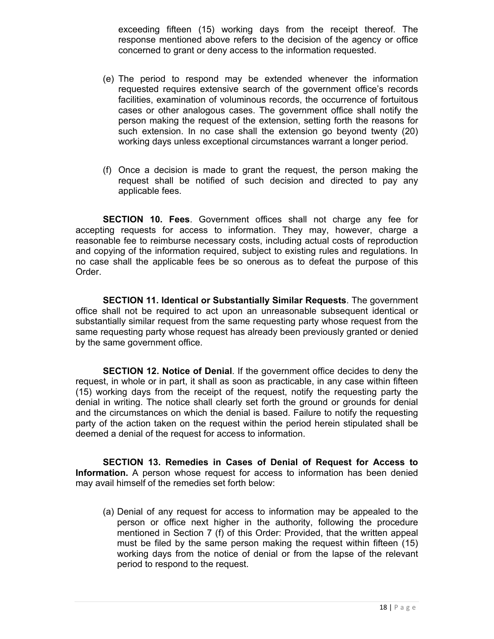exceeding fifteen (15) working days from the receipt thereof. The response mentioned above refers to the decision of the agency or office concerned to grant or deny access to the information requested.

- (e) The period to respond may be extended whenever the information requested requires extensive search of the government office's records facilities, examination of voluminous records, the occurrence of fortuitous cases or other analogous cases. The government office shall notify the person making the request of the extension, setting forth the reasons for such extension. In no case shall the extension go beyond twenty (20) working days unless exceptional circumstances warrant a longer period.
- (f) Once a decision is made to grant the request, the person making the request shall be notified of such decision and directed to pay any applicable fees.

**SECTION 10. Fees**. Government offices shall not charge any fee for accepting requests for access to information. They may, however, charge a reasonable fee to reimburse necessary costs, including actual costs of reproduction and copying of the information required, subject to existing rules and regulations. In no case shall the applicable fees be so onerous as to defeat the purpose of this Order.

**SECTION 11. Identical or Substantially Similar Requests**. The government office shall not be required to act upon an unreasonable subsequent identical or substantially similar request from the same requesting party whose request from the same requesting party whose request has already been previously granted or denied by the same government office.

**SECTION 12. Notice of Denial**. If the government office decides to deny the request, in whole or in part, it shall as soon as practicable, in any case within fifteen (15) working days from the receipt of the request, notify the requesting party the denial in writing. The notice shall clearly set forth the ground or grounds for denial and the circumstances on which the denial is based. Failure to notify the requesting party of the action taken on the request within the period herein stipulated shall be deemed a denial of the request for access to information.

**SECTION 13. Remedies in Cases of Denial of Request for Access to Information.** A person whose request for access to information has been denied may avail himself of the remedies set forth below:

(a) Denial of any request for access to information may be appealed to the person or office next higher in the authority, following the procedure mentioned in Section 7 (f) of this Order: Provided, that the written appeal must be filed by the same person making the request within fifteen (15) working days from the notice of denial or from the lapse of the relevant period to respond to the request.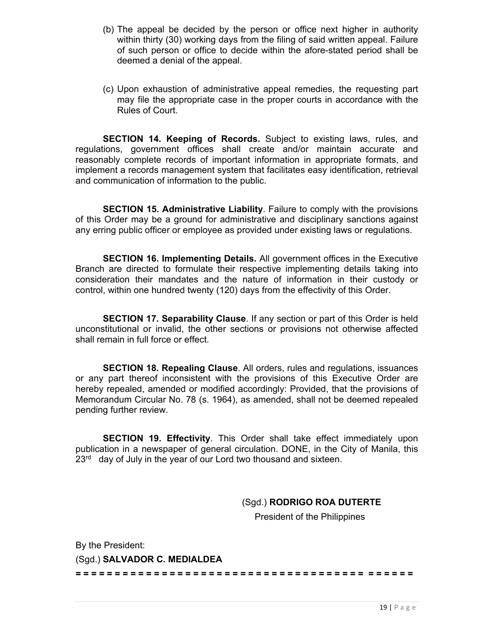- (b) The appeal be decided by the person or office next higher in authority within thirty (30) working days from the filing of said written appeal. Failure of such person or office to decide within the afore-stated period shall be deemed a denial of the appeal.
- (c) Upon exhaustion of administrative appeal remedies, the requesting part may file the appropriate case in the proper courts in accordance with the Rules of Court.

**SECTION 14. Keeping of Records.** Subject to existing laws, rules, and regulations, government offices shall create and/or maintain accurate and reasonably complete records of important information in appropriate formats, and implement a records management system that facilitates easy identification, retrieval and communication of information to the public.

**SECTION 15. Administrative Liability**. Failure to comply with the provisions of this Order may be a ground for administrative and disciplinary sanctions against any erring public officer or employee as provided under existing laws or regulations.

**SECTION 16. Implementing Details.** All government offices in the Executive Branch are directed to formulate their respective implementing details taking into consideration their mandates and the nature of information in their custody or control, within one hundred twenty (120) days from the effectivity of this Order.

**SECTION 17. Separability Clause**. If any section or part of this Order is held unconstitutional or invalid, the other sections or provisions not otherwise affected shall remain in full force or effect.

**SECTION 18. Repealing Clause**. All orders, rules and regulations, issuances or any part thereof inconsistent with the provisions of this Executive Order are hereby repealed, amended or modified accordingly: Provided, that the provisions of Memorandum Circular No. 78 (s. 1964), as amended, shall not be deemed repealed pending further review.

**SECTION 19. Effectivity**. This Order shall take effect immediately upon publication in a newspaper of general circulation. DONE, in the City of Manila, this  $23<sup>rd</sup>$  day of July in the year of our Lord two thousand and sixteen.

(Sgd.) **RODRIGO ROA DUTERTE**

President of the Philippines

By the President: (Sgd.) **SALVADOR C. MEDIALDEA**

**= = = = = = = = = = = = = = = = = = = = = = = = = = = = = = = = = = = = = = = = = = =**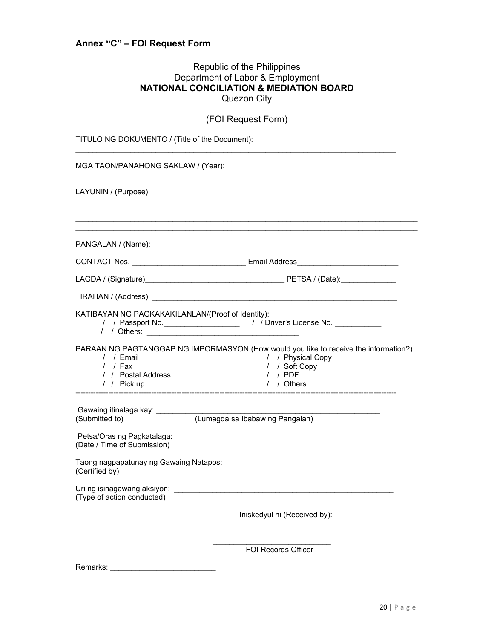## **Annex "C" – FOI Request Form**

#### Republic of the Philippines Department of Labor & Employment **NATIONAL CONCILIATION & MEDIATION BOARD**  Quezon City

|                                                             | (FOI Request Form)                                                                                                                                    |
|-------------------------------------------------------------|-------------------------------------------------------------------------------------------------------------------------------------------------------|
| TITULO NG DOKUMENTO / (Title of the Document):              |                                                                                                                                                       |
| MGA TAON/PANAHONG SAKLAW / (Year):                          |                                                                                                                                                       |
| LAYUNIN / (Purpose):                                        |                                                                                                                                                       |
|                                                             |                                                                                                                                                       |
|                                                             |                                                                                                                                                       |
|                                                             | CONTACT Nos. __________________________________Email Address____________________                                                                      |
|                                                             |                                                                                                                                                       |
|                                                             |                                                                                                                                                       |
| KATIBAYAN NG PAGKAKAKILANLAN/(Proof of Identity):           | / / Passport No. ______________________/ / Driver's License No. ____________<br>/ / Others:                                                           |
| / / Email<br>$/$ / Fax<br>/ / Postal Address<br>/ / Pick up | PARAAN NG PAGTANGGAP NG IMPORMASYON (How would you like to receive the information?)<br>/ / Physical Copy<br>/ / Soft Copy<br>$/$ / PDF<br>/ / Others |
| Gawaing itinalaga kay: ____________<br>(Submitted to)       | (Lumagda sa Ibabaw ng Pangalan)                                                                                                                       |
| (Date / Time of Submission)                                 |                                                                                                                                                       |
| (Certified by)                                              |                                                                                                                                                       |
| Uri ng isinagawang aksiyon:<br>(Type of action conducted)   |                                                                                                                                                       |
|                                                             | Iniskedyul ni (Received by):                                                                                                                          |
|                                                             | FOI Records Officer                                                                                                                                   |
| Remarks:                                                    |                                                                                                                                                       |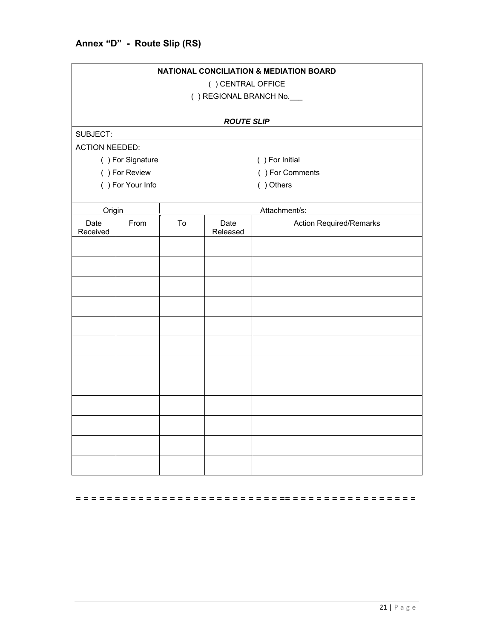| <b>NATIONAL CONCILIATION &amp; MEDIATION BOARD</b><br>() CENTRAL OFFICE<br>() REGIONAL BRANCH No. |                               |    |                   |                                |
|---------------------------------------------------------------------------------------------------|-------------------------------|----|-------------------|--------------------------------|
|                                                                                                   |                               |    | <b>ROUTE SLIP</b> |                                |
| SUBJECT:                                                                                          |                               |    |                   |                                |
| <b>ACTION NEEDED:</b>                                                                             |                               |    |                   |                                |
|                                                                                                   | () For Signature              |    |                   | () For Initial                 |
|                                                                                                   | () For Review                 |    |                   | () For Comments                |
|                                                                                                   | () Others<br>() For Your Info |    |                   |                                |
|                                                                                                   | Attachment/s:<br>Origin       |    |                   |                                |
| Date<br>Received                                                                                  | From                          | To | Date<br>Released  | <b>Action Required/Remarks</b> |
|                                                                                                   |                               |    |                   |                                |
|                                                                                                   |                               |    |                   |                                |
|                                                                                                   |                               |    |                   |                                |
|                                                                                                   |                               |    |                   |                                |
|                                                                                                   |                               |    |                   |                                |
|                                                                                                   |                               |    |                   |                                |
|                                                                                                   |                               |    |                   |                                |
|                                                                                                   |                               |    |                   |                                |
|                                                                                                   |                               |    |                   |                                |
|                                                                                                   |                               |    |                   |                                |
|                                                                                                   |                               |    |                   |                                |
|                                                                                                   |                               |    |                   |                                |

= = = = = = = = = = = = = = = = = = = = = = = = = = == = = = = = = = = = = = = = = = =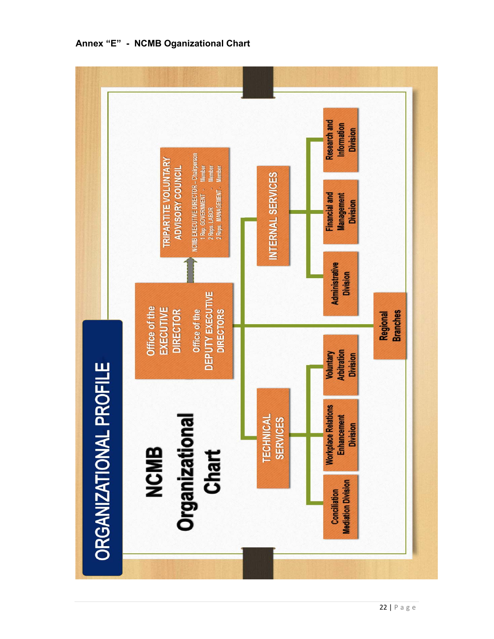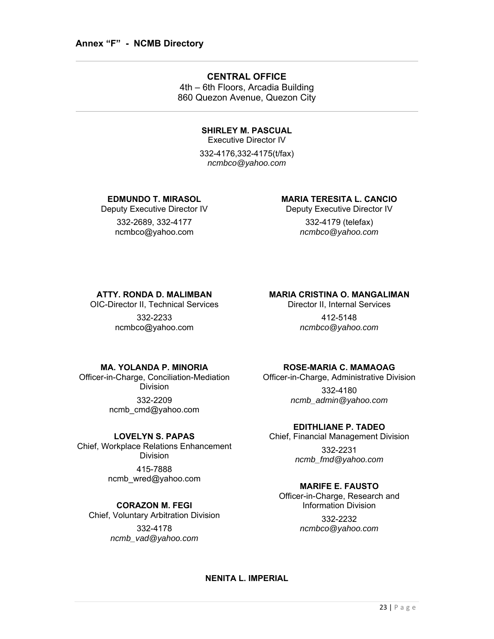#### **CENTRAL OFFICE**

4th – 6th Floors, Arcadia Building 860 Quezon Avenue, Quezon City

## **SHIRLEY M. PASCUAL**

Executive Director IV

332-4176,332-4175(t/fax) *ncmbco@yahoo.com* 

#### **EDMUNDO T. MIRASOL**

Deputy Executive Director IV

332-2689, 332-4177 ncmbco@yahoo.com

#### **MARIA TERESITA L. CANCIO**

Deputy Executive Director IV 332-4179 (telefax)

*ncmbco@yahoo.com*

#### **ATTY. RONDA D. MALIMBAN**

OIC-Director II, Technical Services

332-2233 ncmbco@yahoo.com

## **MARIA CRISTINA O. MANGALIMAN**

Director II, Internal Services

412-5148 *ncmbco@yahoo.com*

#### **MA. YOLANDA P. MINORIA**

Officer-in-Charge, Conciliation-Mediation Division 332-2209 ncmb\_cmd@yahoo.com

#### **LOVELYN S. PAPAS**

Chief, Workplace Relations Enhancement Division 415-7888

ncmb\_wred@yahoo.com

#### **CORAZON M. FEGI**

Chief, Voluntary Arbitration Division

332-4178 *ncmb\_vad@yahoo.com* 

#### **ROSE-MARIA C. MAMAOAG**

Officer-in-Charge, Administrative Division 332-4180 *ncmb\_admin@yahoo.com*

#### **EDITHLIANE P. TADEO**

Chief, Financial Management Division

332-2231 *ncmb\_fmd@yahoo.com* 

#### **MARIFE E. FAUSTO**

Officer-in-Charge, Research and Information Division

> 332-2232 *ncmbco@yahoo.com*

#### **NENITA L. IMPERIAL**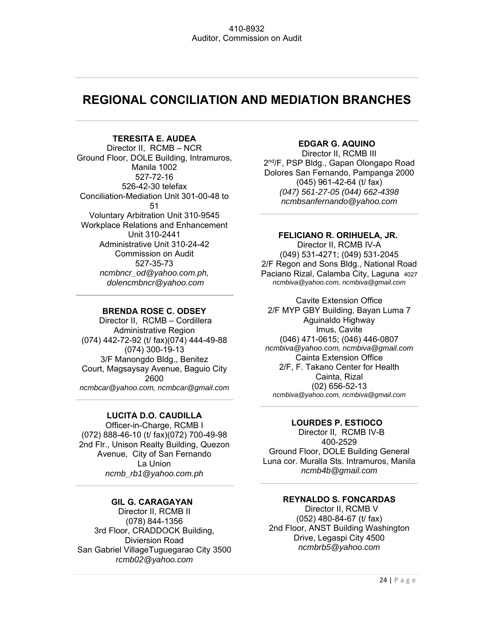## **REGIONAL CONCILIATION AND MEDIATION BRANCHES**

#### **TERESITA E. AUDEA**

Director II, RCMB – NCR Ground Floor, DOLE Building, Intramuros, Manila 1002 527-72-16 526-42-30 telefax Conciliation-Mediation Unit 301-00-48 to 51 Voluntary Arbitration Unit 310-9545 Workplace Relations and Enhancement Unit 310-2441 Administrative Unit 310-24-42 Commission on Audit 527-35-73 *ncmbncr\_od@yahoo.com.ph, dolencmbncr@yahoo.com*

#### **BRENDA ROSE C. ODSEY**

 Director II, RCMB – Cordillera Administrative Region (074) 442-72-92 (t/ fax)(074) 444-49-88 (074) 300-19-13 3/F Manongdo Bldg., Benitez Court, Magsaysay Avenue, Baguio City 2600 *ncmbcar@yahoo.com, ncmbcar@gmail.com* 

#### **LUCITA D.O. CAUDILLA**

Officer-in-Charge, RCMB I (072) 888-46-10 (t/ fax)(072) 700-49-98 2nd Flr., Unison Realty Building, Quezon Avenue, City of San Fernando La Union *ncmb\_rb1@yahoo.com.ph* 

#### **GIL G. CARAGAYAN** Director II, RCMB II (078) 844-1356 3rd Floor, CRADDOCK Building, Diviersion Road San Gabriel VillageTuguegarao City 3500 *rcmb02@yahoo.com*

#### **EDGAR G. AQUINO**

Director II, RCMB III 2<sup>nd</sup>/F, PSP Bldg., Gapan Olongapo Road Dolores San Fernando, Pampanga 2000 (045) 961-42-64 (t/ fax) *(047) 561-27-05 (044) 662-4398 ncmbsanfernando@yahoo.com* 

#### **FELICIANO R. ORIHUELA, JR.**

Director II, RCMB IV-A (049) 531-4271; (049) 531-2045 2/F Regon and Sons Bldg., National Road Paciano Rizal, Calamba City, Laguna 4027 *ncmbiva@yahoo.com, ncmbiva@gmail.com*

Cavite Extension Office 2/F MYP GBY Building, Bayan Luma 7 Aguinaldo Highway Imus, Cavite (046) 471-0615; (046) 446-0807 *ncmbiva@yahoo.com, ncmbiva@gmail.com* Cainta Extension Office 2/F, F. Takano Center for Health Cainta, Rizal (02) 656-52-13 *ncmbiva@yahoo.com, ncmbiva@gmail.com*

#### **LOURDES P. ESTIOCO**

 Director II, RCMB IV-B 400-2529 Ground Floor, DOLE Building General Luna cor. Muralla Sts. Intramuros, Manila *ncmb4b@gmail.com*

#### **REYNALDO S. FONCARDAS**

 Director II, RCMB V (052) 480-84-67 (t/ fax) 2nd Floor, ANST Building Washington Drive, Legaspi City 4500 *ncmbrb5@yahoo.com*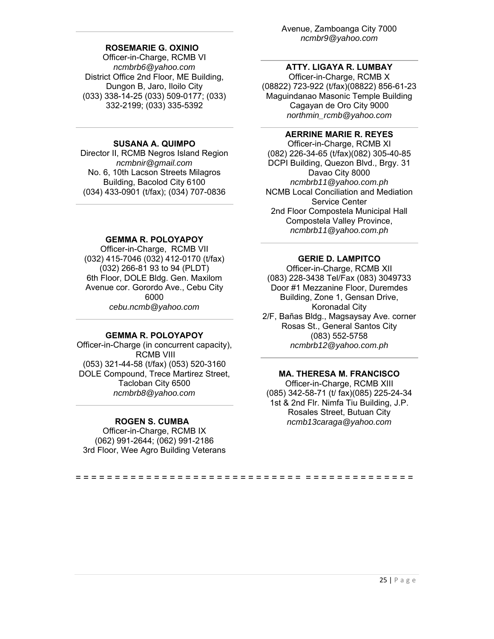#### **ROSEMARIE G. OXINIO**

Officer-in-Charge, RCMB VI *ncmbrb6@yahoo.com*  District Office 2nd Floor, ME Building, Dungon B, Jaro, Iloilo City (033) 338-14-25 (033) 509-0177; (033) 332-2199; (033) 335-5392

#### **SUSANA A. QUIMPO**

Director II, RCMB Negros Island Region *ncmbnir@gmail.com*  No. 6, 10th Lacson Streets Milagros Building, Bacolod City 6100 (034) 433-0901 (t/fax); (034) 707-0836

#### **GEMMA R. POLOYAPOY**

Officer-in-Charge, RCMB VII (032) 415-7046 (032) 412-0170 (t/fax) (032) 266-81 93 to 94 (PLDT) 6th Floor, DOLE Bldg. Gen. Maxilom Avenue cor. Gorordo Ave., Cebu City 6000 *cebu.ncmb@yahoo.com*

#### **GEMMA R. POLOYAPOY**

Officer-in-Charge (in concurrent capacity), RCMB VIII (053) 321-44-58 (t/fax) (053) 520-3160 DOLE Compound, Trece Martirez Street, Tacloban City 6500 *ncmbrb8@yahoo.com*

#### **ROGEN S. CUMBA**

Officer-in-Charge, RCMB IX (062) 991-2644; (062) 991-2186 3rd Floor, Wee Agro Building Veterans Avenue, Zamboanga City 7000 *ncmbr9@yahoo.com* 

#### **ATTY. LIGAYA R. LUMBAY**

Officer-in-Charge, RCMB X (08822) 723-922 (t/fax)(08822) 856-61-23 Maguindanao Masonic Temple Building Cagayan de Oro City 9000 *northmin\_rcmb@yahoo.com* 

#### **AERRINE MARIE R. REYES**

Officer-in-Charge, RCMB XI (082) 226-34-65 (t/fax)(082) 305-40-85 DCPI Building, Quezon Blvd., Brgy. 31 Davao City 8000 *ncmbrb11@yahoo.com.ph* NCMB Local Conciliation and Mediation Service Center 2nd Floor Compostela Municipal Hall Compostela Valley Province, *ncmbrb11@yahoo.com.ph* 

#### **GERIE D. LAMPITCO**

Officer-in-Charge, RCMB XII (083) 228-3438 Tel/Fax (083) 3049733 Door #1 Mezzanine Floor, Duremdes Building, Zone 1, Gensan Drive, Koronadal City 2/F, Bañas Bldg., Magsaysay Ave. corner

Rosas St., General Santos City (083) 552-5758 *ncmbrb12@yahoo.com.ph* 

#### **MA. THERESA M. FRANCISCO**

Officer-in-Charge, RCMB XIII (085) 342-58-71 (t/ fax)(085) 225-24-34 1st & 2nd Flr. Nimfa Tiu Building, J.P. Rosales Street, Butuan City *ncmb13caraga@yahoo.com*

= = = = = = = = = = = = = = = = = = = = = = = = = = = = = = = = = = = = = = = = = = =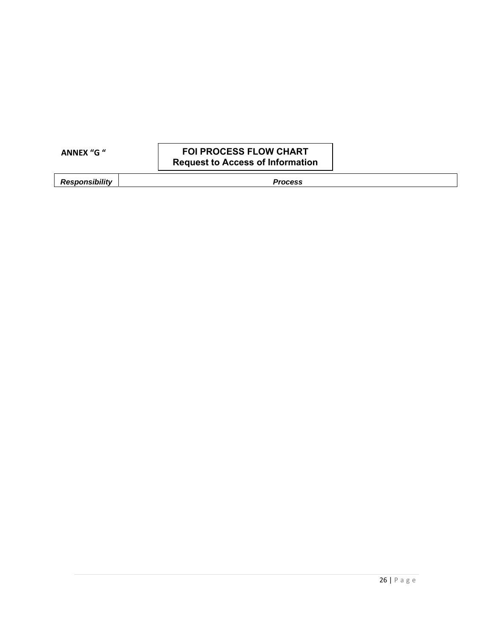| <b>ANNEX "G "</b> |  |  |
|-------------------|--|--|
|                   |  |  |

#### **FOI PROCESS FLOW CHART Request to Access of Information**

**Responsibility Process**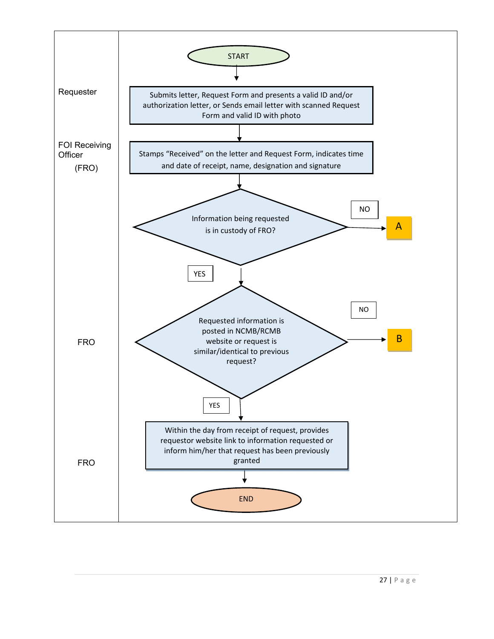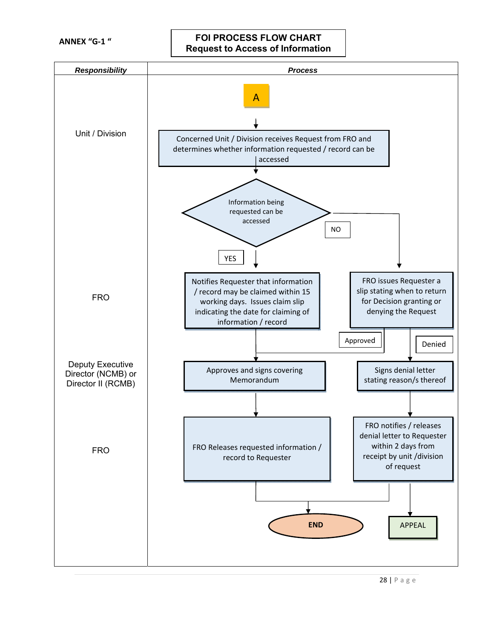**ANNEX "G‐1 "** 

**FOI PROCESS FLOW CHART Request to Access of Information**

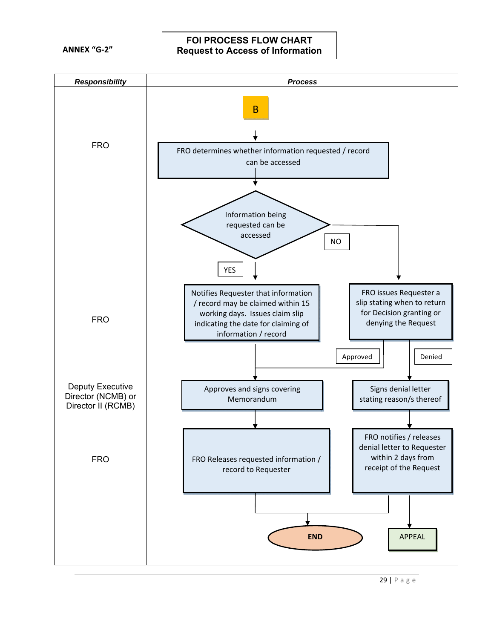**ANNEX "G‐2"** 

#### **FOI PROCESS FLOW CHART Request to Access of Information**

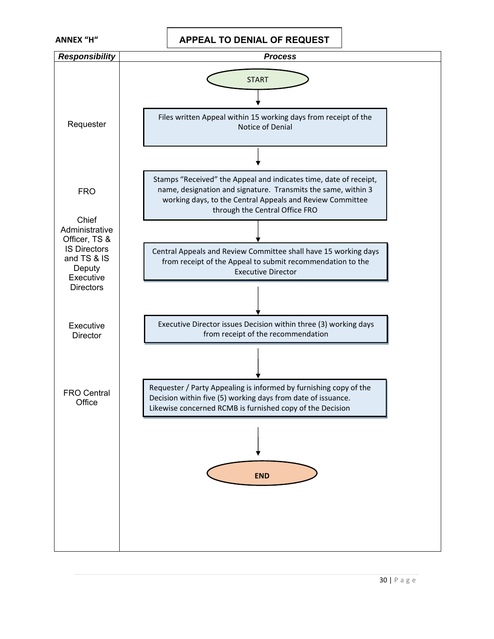

**ANNEX "H" APPEAL TO DENIAL OF REQUEST** 

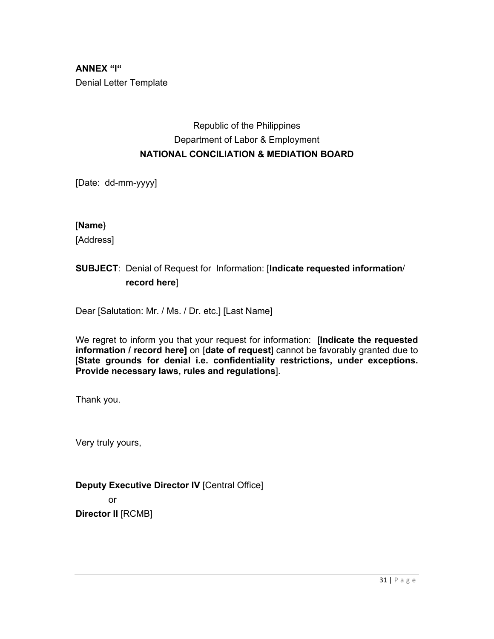**ANNEX "I"**  Denial Letter Template

## Republic of the Philippines Department of Labor & Employment **NATIONAL CONCILIATION & MEDIATION BOARD**

[Date: dd-mm-yyyy]

#### [**Name**}

[Address]

## **SUBJECT**: Denial of Request for Information: [**Indicate requested information**/  **record here**]

Dear [Salutation: Mr. / Ms. / Dr. etc.] [Last Name]

We regret to inform you that your request for information: [**Indicate the requested information / record here]** on [**date of request**] cannot be favorably granted due to [**State grounds for denial i.e. confidentiality restrictions, under exceptions. Provide necessary laws, rules and regulations**].

Thank you.

Very truly yours,

## **Deputy Executive Director IV** [Central Office]

or

**Director II** [RCMB]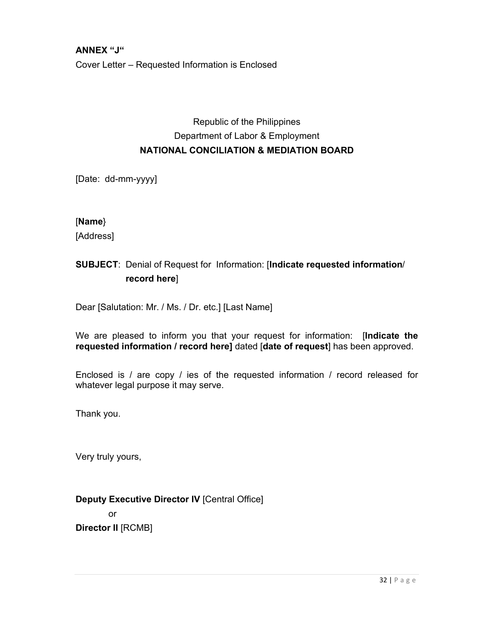**ANNEX "J"**  Cover Letter – Requested Information is Enclosed

## Republic of the Philippines Department of Labor & Employment **NATIONAL CONCILIATION & MEDIATION BOARD**

[Date: dd-mm-yyyy]

[**Name**}

[Address]

## **SUBJECT**: Denial of Request for Information: [**Indicate requested information**/  **record here**]

Dear [Salutation: Mr. / Ms. / Dr. etc.] [Last Name]

We are pleased to inform you that your request for information: [**Indicate the requested information / record here]** dated [**date of request**] has been approved.

Enclosed is / are copy / ies of the requested information / record released for whatever legal purpose it may serve.

Thank you.

Very truly yours,

**Deputy Executive Director IV** [Central Office] or **Director II** [RCMB]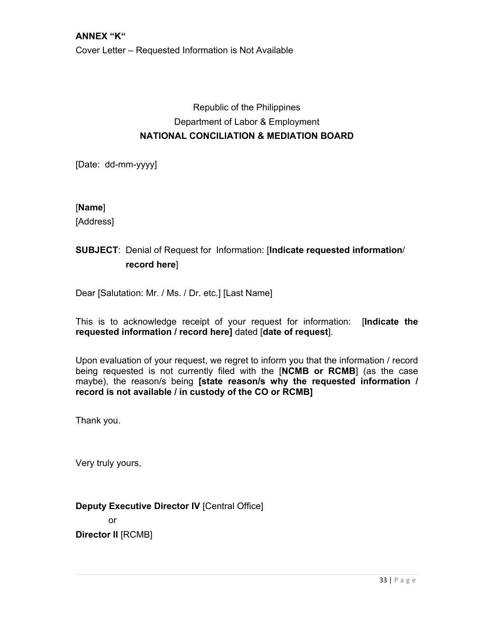Cover Letter – Requested Information is Not Available

## Republic of the Philippines Department of Labor & Employment **NATIONAL CONCILIATION & MEDIATION BOARD**

[Date: dd-mm-yyyy]

#### [**Name**]

[Address]

## **SUBJECT**: Denial of Request for Information: [**Indicate requested information**/  **record here**]

Dear [Salutation: Mr. / Ms. / Dr. etc.] [Last Name]

This is to acknowledge receipt of your request for information: [**Indicate the requested information / record here]** dated [**date of request**].

Upon evaluation of your request, we regret to inform you that the information / record being requested is not currently filed with the [**NCMB or RCMB**] (as the case maybe), the reason/s being **[state reason/s why the requested information / record is not available / in custody of the CO or RCMB]**

Thank you.

Very truly yours,

#### **Deputy Executive Director IV** [Central Office]

or

**Director II** [RCMB]